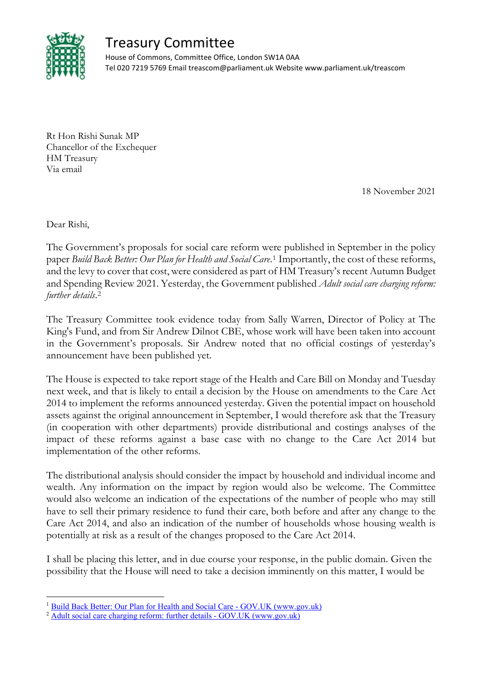

## Treasury Committee

House of Commons, Committee Office, London SW1A 0AA Tel 020 7219 5769 Email treascom@parliament.uk Website www.parliament.uk/treascom

Rt Hon Rishi Sunak MP Chancellor of the Exchequer HM Treasury Via email

18 November 2021

Dear Rishi,

The Government's proposals for social care reform were published in September in the policy paper *Build Back Better: Our Plan for Health and Social Care*.[1](#page-0-0) Importantly, the cost of these reforms, and the levy to cover that cost, were considered as part of HM Treasury's recent Autumn Budget and Spending Review 2021. Yesterday, the Government published *Adult social care charging reform: further details*.[2](#page-0-1)

The Treasury Committee took evidence today from Sally Warren, Director of Policy at The King's Fund, and from Sir Andrew Dilnot CBE, whose work will have been taken into account in the Government's proposals. Sir Andrew noted that no official costings of yesterday's announcement have been published yet.

The House is expected to take report stage of the Health and Care Bill on Monday and Tuesday next week, and that is likely to entail a decision by the House on amendments to the Care Act 2014 to implement the reforms announced yesterday. Given the potential impact on household assets against the original announcement in September, I would therefore ask that the Treasury (in cooperation with other departments) provide distributional and costings analyses of the impact of these reforms against a base case with no change to the Care Act 2014 but implementation of the other reforms.

The distributional analysis should consider the impact by household and individual income and wealth. Any information on the impact by region would also be welcome. The Committee would also welcome an indication of the expectations of the number of people who may still have to sell their primary residence to fund their care, both before and after any change to the Care Act 2014, and also an indication of the number of households whose housing wealth is potentially at risk as a result of the changes proposed to the Care Act 2014.

I shall be placing this letter, and in due course your response, in the public domain. Given the possibility that the House will need to take a decision imminently on this matter, I would be

<span id="page-0-0"></span><sup>&</sup>lt;sup>1</sup> [Build Back Better: Our Plan for Health and Social Care -](https://www.gov.uk/government/publications/build-back-better-our-plan-for-health-and-social-care) GOV.UK (www.gov.uk)

<span id="page-0-1"></span><sup>&</sup>lt;sup>2</sup> [Adult social care charging reform: further details -](https://www.gov.uk/government/publications/build-back-better-our-plan-for-health-and-social-care/adult-social-care-charging-reform-further-details) GOV.UK (www.gov.uk)